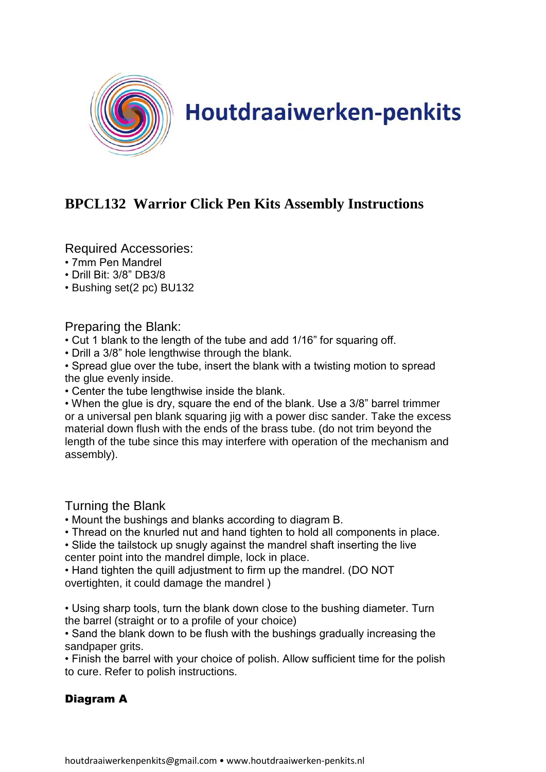

## **Houtdraaiwerken-penkits**

## **BPCL132 Warrior Click Pen Kits Assembly Instructions**

Required Accessories:

- 7mm Pen Mandrel
- Drill Bit: 3/8" DB3/8
- Bushing set(2 pc) BU132

Preparing the Blank:

• Cut 1 blank to the length of the tube and add 1/16" for squaring off.

• Drill a 3/8" hole lengthwise through the blank.

• Spread glue over the tube, insert the blank with a twisting motion to spread the glue evenly inside.

• Center the tube lengthwise inside the blank.

• When the glue is dry, square the end of the blank. Use a 3/8" barrel trimmer or a universal pen blank squaring jig with a power disc sander. Take the excess material down flush with the ends of the brass tube. (do not trim beyond the length of the tube since this may interfere with operation of the mechanism and assembly).

Turning the Blank

- Mount the bushings and blanks according to diagram B.
- Thread on the knurled nut and hand tighten to hold all components in place.
- Slide the tailstock up snugly against the mandrel shaft inserting the live center point into the mandrel dimple, lock in place.

• Hand tighten the quill adjustment to firm up the mandrel. (DO NOT overtighten, it could damage the mandrel )

• Using sharp tools, turn the blank down close to the bushing diameter. Turn the barrel (straight or to a profile of your choice)

• Sand the blank down to be flush with the bushings gradually increasing the sandpaper grits.

• Finish the barrel with your choice of polish. Allow sufficient time for the polish to cure. Refer to polish instructions.

## Diagram A